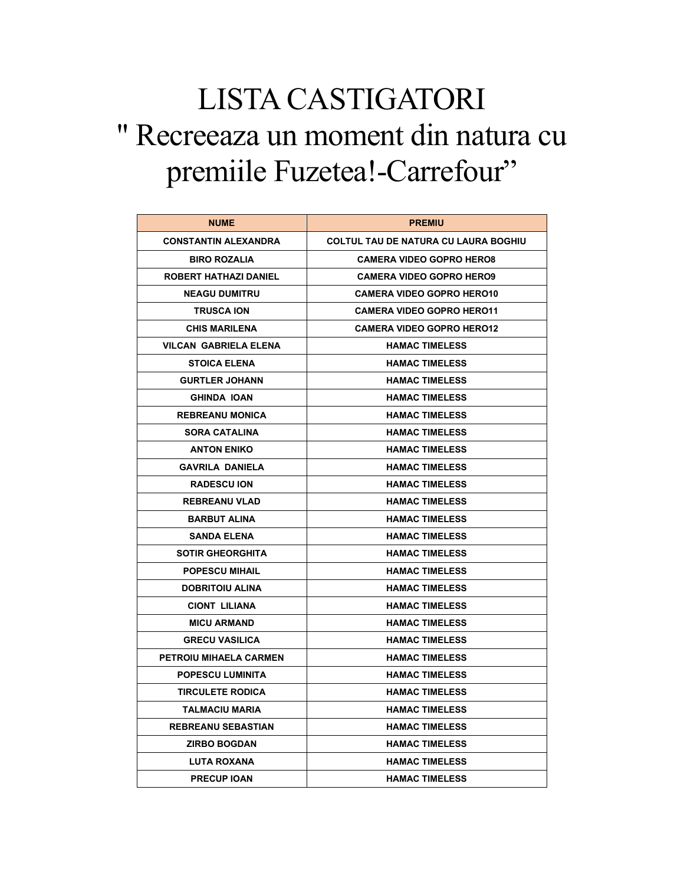## LISTA CASTIGATORI " Recreeaza un moment din natura cu premiile Fuzetea!-Carrefour"

| <b>NUME</b>                  | <b>PREMIU</b>                        |
|------------------------------|--------------------------------------|
| <b>CONSTANTIN ALEXANDRA</b>  | COLTUL TAU DE NATURA CU LAURA BOGHIU |
| <b>BIRO ROZALIA</b>          | <b>CAMERA VIDEO GOPRO HERO8</b>      |
| <b>ROBERT HATHAZI DANIEL</b> | <b>CAMERA VIDEO GOPRO HERO9</b>      |
| <b>NEAGU DUMITRU</b>         | <b>CAMERA VIDEO GOPRO HERO10</b>     |
| <b>TRUSCA ION</b>            | <b>CAMERA VIDEO GOPRO HERO11</b>     |
| <b>CHIS MARILENA</b>         | <b>CAMERA VIDEO GOPRO HERO12</b>     |
| VILCAN GABRIELA ELENA        | <b>HAMAC TIMELESS</b>                |
| <b>STOICA ELENA</b>          | <b>HAMAC TIMELESS</b>                |
| <b>GURTLER JOHANN</b>        | <b>HAMAC TIMELESS</b>                |
| <b>GHINDA IOAN</b>           | <b>HAMAC TIMELESS</b>                |
| <b>REBREANU MONICA</b>       | <b>HAMAC TIMELESS</b>                |
| <b>SORA CATALINA</b>         | <b>HAMAC TIMELESS</b>                |
| <b>ANTON ENIKO</b>           | <b>HAMAC TIMELESS</b>                |
| <b>GAVRILA DANIELA</b>       | <b>HAMAC TIMELESS</b>                |
| <b>RADESCU ION</b>           | <b>HAMAC TIMELESS</b>                |
| <b>REBREANU VLAD</b>         | <b>HAMAC TIMELESS</b>                |
| <b>BARBUT ALINA</b>          | <b>HAMAC TIMELESS</b>                |
| <b>SANDA ELENA</b>           | <b>HAMAC TIMELESS</b>                |
| <b>SOTIR GHEORGHITA</b>      | <b>HAMAC TIMELESS</b>                |
| <b>POPESCU MIHAIL</b>        | <b>HAMAC TIMELESS</b>                |
| <b>DOBRITOIU ALINA</b>       | <b>HAMAC TIMELESS</b>                |
| <b>CIONT LILIANA</b>         | <b>HAMAC TIMELESS</b>                |
| <b>MICU ARMAND</b>           | <b>HAMAC TIMELESS</b>                |
| <b>GRECU VASILICA</b>        | <b>HAMAC TIMELESS</b>                |
| PETROIU MIHAELA CARMEN       | <b>HAMAC TIMELESS</b>                |
| <b>POPESCU LUMINITA</b>      | <b>HAMAC TIMELESS</b>                |
| <b>TIRCULETE RODICA</b>      | <b>HAMAC TIMELESS</b>                |
| <b>TALMACIU MARIA</b>        | <b>HAMAC TIMELESS</b>                |
| <b>REBREANU SEBASTIAN</b>    | <b>HAMAC TIMELESS</b>                |
| <b>ZIRBO BOGDAN</b>          | <b>HAMAC TIMELESS</b>                |
| LUTA ROXANA                  | <b>HAMAC TIMELESS</b>                |
| <b>PRECUP IOAN</b>           | <b>HAMAC TIMELESS</b>                |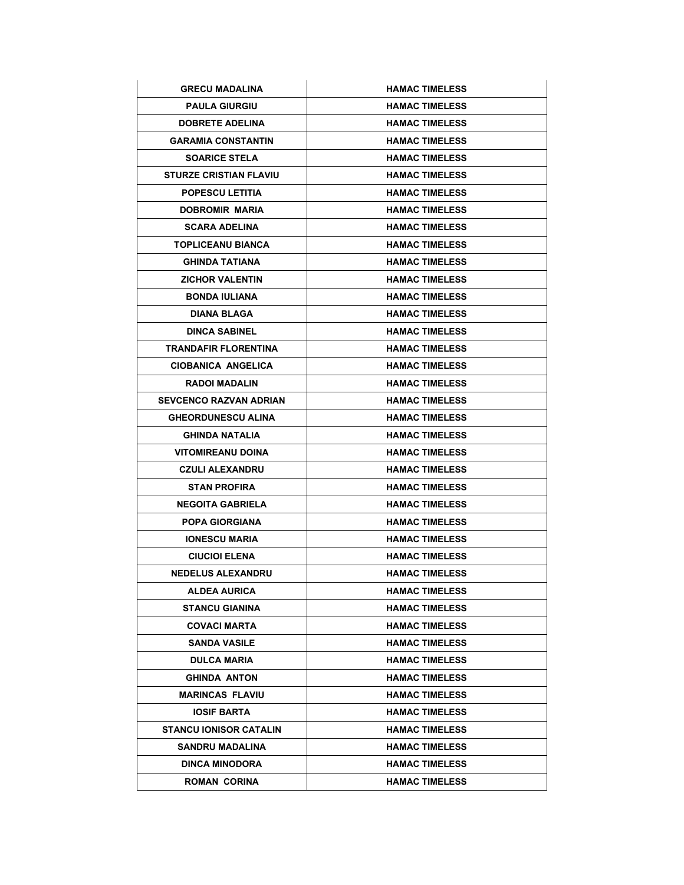| <b>GRECU MADALINA</b>         | <b>HAMAC TIMELESS</b> |
|-------------------------------|-----------------------|
| <b>PAULA GIURGIU</b>          | <b>HAMAC TIMELESS</b> |
| <b>DOBRETE ADELINA</b>        | <b>HAMAC TIMELESS</b> |
| <b>GARAMIA CONSTANTIN</b>     | <b>HAMAC TIMELESS</b> |
| <b>SOARICE STELA</b>          | <b>HAMAC TIMELESS</b> |
| <b>STURZE CRISTIAN FLAVIU</b> | <b>HAMAC TIMELESS</b> |
| <b>POPESCU LETITIA</b>        | <b>HAMAC TIMELESS</b> |
| DOBROMIR MARIA                | <b>HAMAC TIMELESS</b> |
| <b>SCARA ADELINA</b>          | <b>HAMAC TIMELESS</b> |
| <b>TOPLICEANU BIANCA</b>      | <b>HAMAC TIMELESS</b> |
| <b>GHINDA TATIANA</b>         | <b>HAMAC TIMELESS</b> |
| <b>ZICHOR VALENTIN</b>        | <b>HAMAC TIMELESS</b> |
| <b>BONDA IULIANA</b>          | <b>HAMAC TIMELESS</b> |
| <b>DIANA BLAGA</b>            | <b>HAMAC TIMELESS</b> |
| <b>DINCA SABINEL</b>          | <b>HAMAC TIMELESS</b> |
| <b>TRANDAFIR FLORENTINA</b>   | <b>HAMAC TIMELESS</b> |
| <b>CIOBANICA ANGELICA</b>     | <b>HAMAC TIMELESS</b> |
| <b>RADOI MADALIN</b>          | <b>HAMAC TIMELESS</b> |
| <b>SEVCENCO RAZVAN ADRIAN</b> | <b>HAMAC TIMELESS</b> |
| <b>GHEORDUNESCU ALINA</b>     | <b>HAMAC TIMELESS</b> |
| <b>GHINDA NATALIA</b>         | <b>HAMAC TIMELESS</b> |
| <b>VITOMIREANU DOINA</b>      | <b>HAMAC TIMELESS</b> |
| <b>CZULI ALEXANDRU</b>        | <b>HAMAC TIMELESS</b> |
| <b>STAN PROFIRA</b>           | <b>HAMAC TIMELESS</b> |
| <b>NEGOITA GABRIELA</b>       | <b>HAMAC TIMELESS</b> |
| <b>POPA GIORGIANA</b>         | <b>HAMAC TIMELESS</b> |
| <b>IONESCU MARIA</b>          | <b>HAMAC TIMELESS</b> |
| <b>CIUCIOI ELENA</b>          | <b>HAMAC TIMELESS</b> |
| <b>NEDELUS ALEXANDRU</b>      | <b>HAMAC TIMELESS</b> |
| ALDEA AURICA                  | <b>HAMAC TIMELESS</b> |
| <b>STANCU GIANINA</b>         | <b>HAMAC TIMELESS</b> |
| <b>COVACI MARTA</b>           | <b>HAMAC TIMELESS</b> |
| <b>SANDA VASILE</b>           | <b>HAMAC TIMELESS</b> |
| <b>DULCA MARIA</b>            | <b>HAMAC TIMELESS</b> |
| <b>GHINDA ANTON</b>           | <b>HAMAC TIMELESS</b> |
| <b>MARINCAS FLAVIU</b>        | <b>HAMAC TIMELESS</b> |
| <b>IOSIF BARTA</b>            | <b>HAMAC TIMELESS</b> |
| <b>STANCU IONISOR CATALIN</b> | <b>HAMAC TIMELESS</b> |
| SANDRU MADALINA               | <b>HAMAC TIMELESS</b> |
| <b>DINCA MINODORA</b>         | <b>HAMAC TIMELESS</b> |
| <b>ROMAN CORINA</b>           | <b>HAMAC TIMELESS</b> |